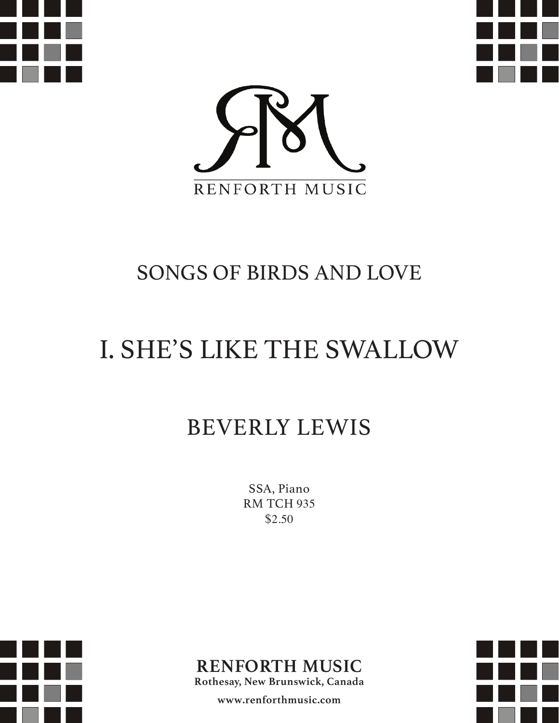





## SONGS OF BIRDS AND LOVE

## I. SHE'S LIKE THE SWALLOW

## BEVERLY LEWIS

SSA, Piano RM TCH 935 \$2.50





**Rothesay, New Brunswick, Canada**

**www.renforthmusic.com**

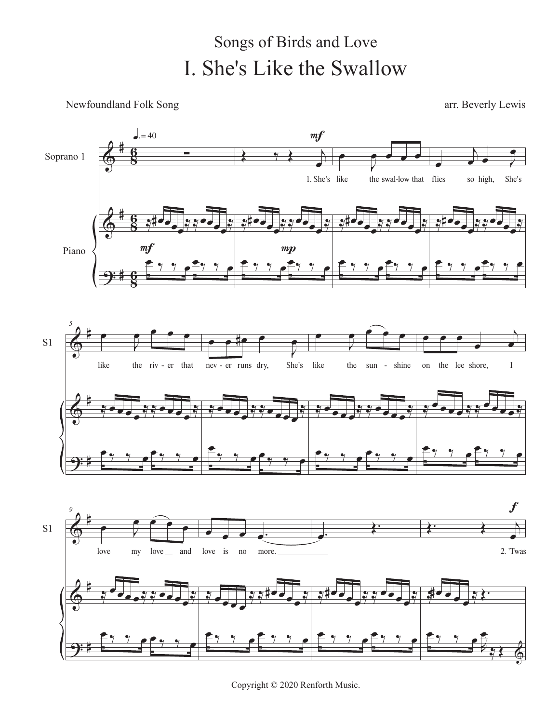## I. She's Like the Swallow Songs of Birds and Love

Newfoundland Folk Song arr. Beverly Lewis



Copyright © 2020 Renforth Music.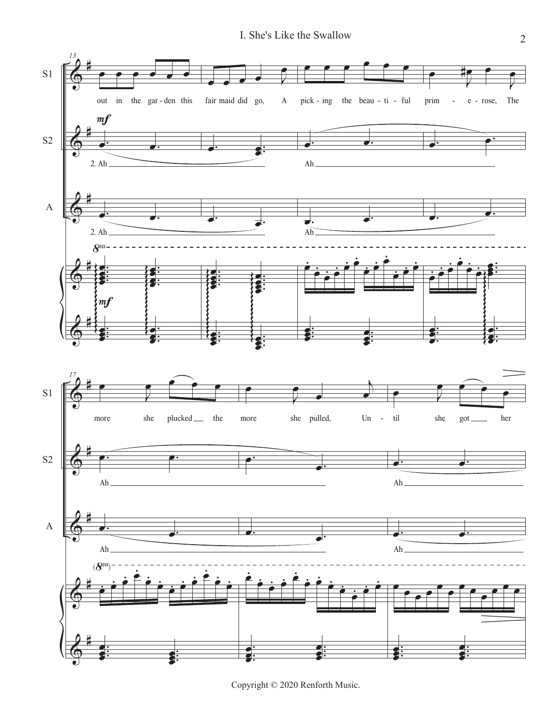

Copyright © 2020 Renforth Music.